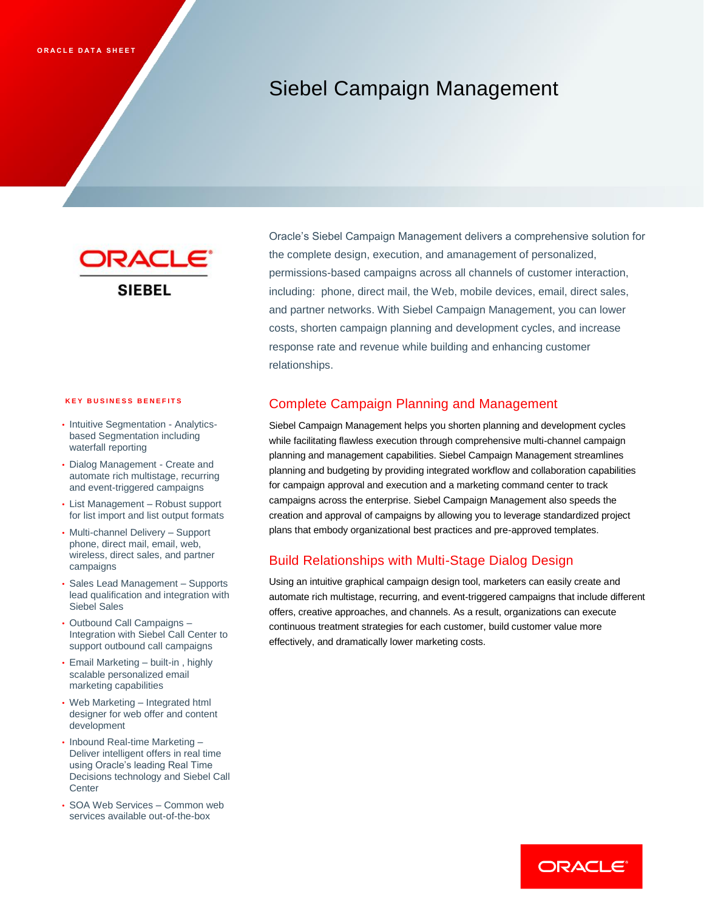# Siebel Campaign Management



#### **KEY BUSINESS BENEFITS**

- Intuitive Segmentation Analyticsbased Segmentation including waterfall reporting
- Dialog Management Create and automate rich multistage, recurring and event-triggered campaigns
- List Management Robust support for list import and list output formats
- Multi-channel Delivery Support phone, direct mail, email, web, wireless, direct sales, and partner campaigns
- Sales Lead Management Supports lead qualification and integration with Siebel Sales
- Outbound Call Campaigns Integration with Siebel Call Center to support outbound call campaigns
- Email Marketing built-in , highly scalable personalized email marketing capabilities
- Web Marketing Integrated html designer for web offer and content development
- Inbound Real-time Marketing Deliver intelligent offers in real time using Oracle's leading Real Time Decisions technology and Siebel Call **Center**
- SOA Web Services Common web services available out-of-the-box

Oracle's Siebel Campaign Management delivers a comprehensive solution for the complete design, execution, and amanagement of personalized, permissions-based campaigns across all channels of customer interaction, including: phone, direct mail, the Web, mobile devices, email, direct sales, and partner networks. With Siebel Campaign Management, you can lower costs, shorten campaign planning and development cycles, and increase response rate and revenue while building and enhancing customer relationships.

### Complete Campaign Planning and Management

Siebel Campaign Management helps you shorten planning and development cycles while facilitating flawless execution through comprehensive multi-channel campaign planning and management capabilities. Siebel Campaign Management streamlines planning and budgeting by providing integrated workflow and collaboration capabilities for campaign approval and execution and a marketing command center to track campaigns across the enterprise. Siebel Campaign Management also speeds the creation and approval of campaigns by allowing you to leverage standardized project plans that embody organizational best practices and pre-approved templates.

### Build Relationships with Multi-Stage Dialog Design

Using an intuitive graphical campaign design tool, marketers can easily create and automate rich multistage, recurring, and event-triggered campaigns that include different offers, creative approaches, and channels. As a result, organizations can execute continuous treatment strategies for each customer, build customer value more effectively, and dramatically lower marketing costs.

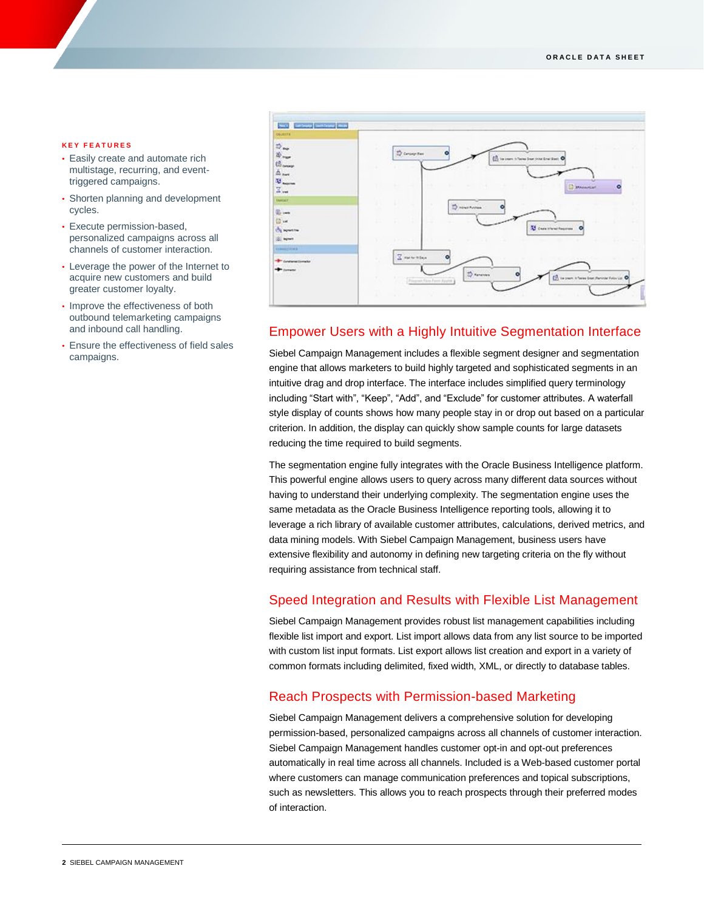#### **K E Y F E A T U R E S**

- Easily create and automate rich multistage, recurring, and eventtriggered campaigns.
- Shorten planning and development cycles.
- Execute permission-based, personalized campaigns across all channels of customer interaction.
- Leverage the power of the Internet to acquire new customers and build greater customer loyalty.
- Improve the effectiveness of both outbound telemarketing campaigns and inbound call handling.
- Ensure the effectiveness of field sales campaigns.



# Empower Users with a Highly Intuitive Segmentation Interface

Siebel Campaign Management includes a flexible segment designer and segmentation engine that allows marketers to build highly targeted and sophisticated segments in an intuitive drag and drop interface. The interface includes simplified query terminology including "Start with", "Keep", "Add", and "Exclude" for customer attributes. A waterfall style display of counts shows how many people stay in or drop out based on a particular criterion. In addition, the display can quickly show sample counts for large datasets reducing the time required to build segments.

The segmentation engine fully integrates with the Oracle Business Intelligence platform. This powerful engine allows users to query across many different data sources without having to understand their underlying complexity. The segmentation engine uses the same metadata as the Oracle Business Intelligence reporting tools, allowing it to leverage a rich library of available customer attributes, calculations, derived metrics, and data mining models. With Siebel Campaign Management, business users have extensive flexibility and autonomy in defining new targeting criteria on the fly without requiring assistance from technical staff.

### Speed Integration and Results with Flexible List Management

Siebel Campaign Management provides robust list management capabilities including flexible list import and export. List import allows data from any list source to be imported with custom list input formats. List export allows list creation and export in a variety of common formats including delimited, fixed width, XML, or directly to database tables.

### Reach Prospects with Permission-based Marketing

Siebel Campaign Management delivers a comprehensive solution for developing permission-based, personalized campaigns across all channels of customer interaction. Siebel Campaign Management handles customer opt-in and opt-out preferences automatically in real time across all channels. Included is a Web-based customer portal where customers can manage communication preferences and topical subscriptions, such as newsletters. This allows you to reach prospects through their preferred modes of interaction.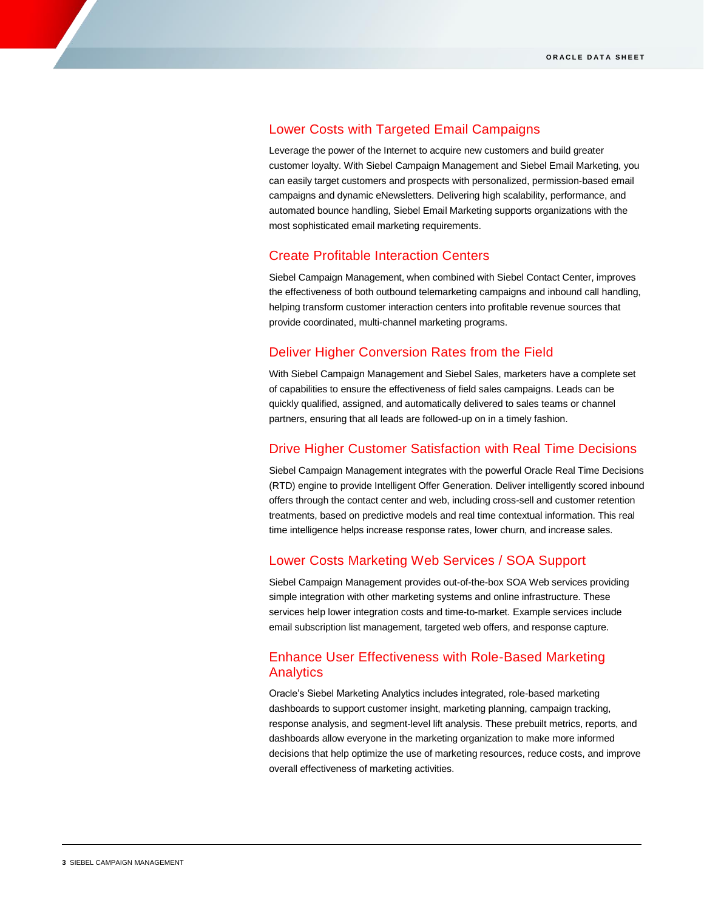## Lower Costs with Targeted Email Campaigns

Leverage the power of the Internet to acquire new customers and build greater customer loyalty. With Siebel Campaign Management and Siebel Email Marketing, you can easily target customers and prospects with personalized, permission-based email campaigns and dynamic eNewsletters. Delivering high scalability, performance, and automated bounce handling, Siebel Email Marketing supports organizations with the most sophisticated email marketing requirements.

# Create Profitable Interaction Centers

Siebel Campaign Management, when combined with Siebel Contact Center, improves the effectiveness of both outbound telemarketing campaigns and inbound call handling, helping transform customer interaction centers into profitable revenue sources that provide coordinated, multi-channel marketing programs.

# Deliver Higher Conversion Rates from the Field

With Siebel Campaign Management and Siebel Sales, marketers have a complete set of capabilities to ensure the effectiveness of field sales campaigns. Leads can be quickly qualified, assigned, and automatically delivered to sales teams or channel partners, ensuring that all leads are followed-up on in a timely fashion.

### Drive Higher Customer Satisfaction with Real Time Decisions

Siebel Campaign Management integrates with the powerful Oracle Real Time Decisions (RTD) engine to provide Intelligent Offer Generation. Deliver intelligently scored inbound offers through the contact center and web, including cross-sell and customer retention treatments, based on predictive models and real time contextual information. This real time intelligence helps increase response rates, lower churn, and increase sales.

# Lower Costs Marketing Web Services / SOA Support

Siebel Campaign Management provides out-of-the-box SOA Web services providing simple integration with other marketing systems and online infrastructure. These services help lower integration costs and time-to-market. Example services include email subscription list management, targeted web offers, and response capture.

# Enhance User Effectiveness with Role-Based Marketing Analytics

Oracle's Siebel Marketing Analytics includes integrated, role-based marketing dashboards to support customer insight, marketing planning, campaign tracking, response analysis, and segment-level lift analysis. These prebuilt metrics, reports, and dashboards allow everyone in the marketing organization to make more informed decisions that help optimize the use of marketing resources, reduce costs, and improve overall effectiveness of marketing activities.